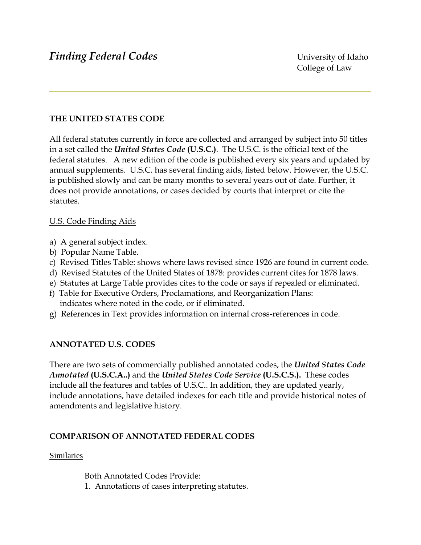## **THE UNITED STATES CODE**

All federal statutes currently in force are collected and arranged by subject into 50 titles in a set called the *United States Code* **(U.S.C.)**. The U.S.C. is the official text of the federal statutes. A new edition of the code is published every six years and updated by annual supplements. U.S.C. has several finding aids, listed below. However, the U.S.C. is published slowly and can be many months to several years out of date. Further, it does not provide annotations, or cases decided by courts that interpret or cite the statutes.

#### U.S. Code Finding Aids

- a) A general subject index.
- b) Popular Name Table.
- c) Revised Titles Table: shows where laws revised since 1926 are found in current code.
- d) Revised Statutes of the United States of 1878: provides current cites for 1878 laws.
- e) Statutes at Large Table provides cites to the code or says if repealed or eliminated.
- f) Table for Executive Orders, Proclamations, and Reorganization Plans: indicates where noted in the code, or if eliminated.
- g) References in Text provides information on internal cross-references in code.

### **ANNOTATED U.S. CODES**

There are two sets of commercially published annotated codes, the *United States Code Annotated* **(U.S.C.A..)** and the *United States Code Service* **(U.S.C.S.).** These codes include all the features and tables of U.S.C.. In addition, they are updated yearly, include annotations, have detailed indexes for each title and provide historical notes of amendments and legislative history.

### **COMPARISON OF ANNOTATED FEDERAL CODES**

#### Similaries

Both Annotated Codes Provide:

1. Annotations of cases interpreting statutes.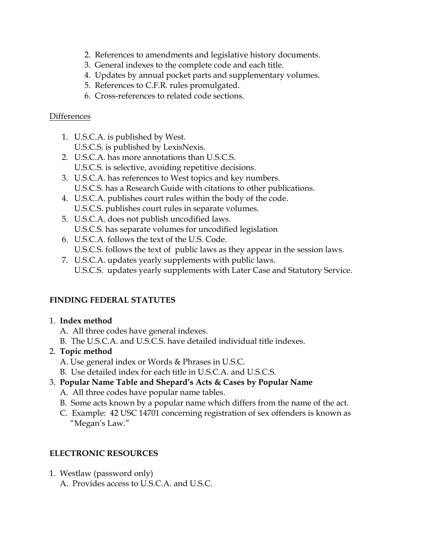- 2. References to amendments and legislative history documents.
- 3. General indexes to the complete code and each title.
- 4. Updates by annual pocket parts and supplementary volumes.
- 5. References to C.F.R. rules promulgated.
- 6. Cross-references to related code sections.

## **Differences**

- 1. U.S.C.A. is published by West.
	- U.S.C.S. is published by LexisNexis.
- 2. U.S.C.A. has more annotations than U.S.C.S. U.S.C.S. is selective, avoiding repetitive decisions.
- 3. U.S.C.A. has references to West topics and key numbers. U.S.C.S. has a Research Guide with citations to other publications.
- 4. U.S.C.A. publishes court rules within the body of the code. U.S.C.S. publishes court rules in separate volumes.
- 5. U.S.C.A. does not publish uncodified laws. U.S.C.S. has separate volumes for uncodified legislation
- 6. U.S.C.A. follows the text of the U.S. Code.
	- U.S.C.S. follows the text of public laws as they appear in the session laws.
- 7. U.S.C.A. updates yearly supplements with public laws. U.S.C.S. updates yearly supplements with Later Case and Statutory Service.

# **FINDING FEDERAL STATUTES**

- 1. **Index method**
	- A. All three codes have general indexes.
	- B. The U.S.C.A. and U.S.C.S. have detailed individual title indexes.
- 2. **Topic method**
	- A. Use general index or Words & Phrases in U.S.C.
	- B. Use detailed index for each title in U.S.C.A. and U.S.C.S.
- 3. **Popular Name Table and Shepard's Acts & Cases by Popular Name**
	- A. All three codes have popular name tables.
	- B. Some acts known by a popular name which differs from the name of the act.
	- C. Example: 42 USC 14701 concerning registration of sex offenders is known as "Megan's Law."

## **ELECTRONIC RESOURCES**

1. Westlaw (password only) A. Provides access to U.S.C.A. and U.S.C.